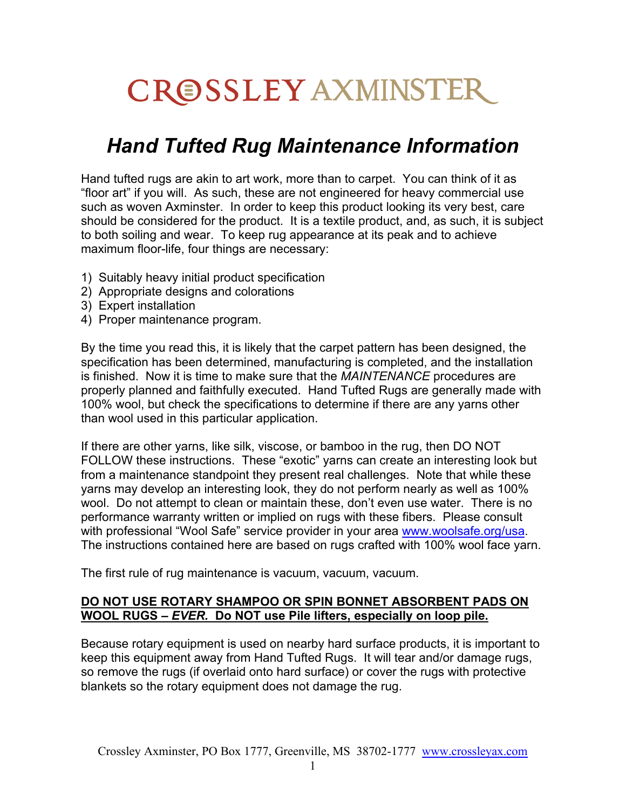# **CROSSLEY AXMINSTER**

## *Hand Tufted Rug Maintenance Information*

Hand tufted rugs are akin to art work, more than to carpet. You can think of it as "floor art" if you will. As such, these are not engineered for heavy commercial use such as woven Axminster. In order to keep this product looking its very best, care should be considered for the product. It is a textile product, and, as such, it is subject to both soiling and wear. To keep rug appearance at its peak and to achieve maximum floor-life, four things are necessary:

- 1) Suitably heavy initial product specification
- 2) Appropriate designs and colorations
- 3) Expert installation
- 4) Proper maintenance program.

By the time you read this, it is likely that the carpet pattern has been designed, the specification has been determined, manufacturing is completed, and the installation is finished. Now it is time to make sure that the *MAINTENANCE* procedures are properly planned and faithfully executed. Hand Tufted Rugs are generally made with 100% wool, but check the specifications to determine if there are any yarns other than wool used in this particular application.

If there are other yarns, like silk, viscose, or bamboo in the rug, then DO NOT FOLLOW these instructions. These "exotic" yarns can create an interesting look but from a maintenance standpoint they present real challenges. Note that while these yarns may develop an interesting look, they do not perform nearly as well as 100% wool. Do not attempt to clean or maintain these, don't even use water. There is no performance warranty written or implied on rugs with these fibers. Please consult with professional "Wool Safe" service provider in your area [www.woolsafe.org/usa.](http://www.woolsafe.org/usa) The instructions contained here are based on rugs crafted with 100% wool face yarn.

The first rule of rug maintenance is vacuum, vacuum, vacuum.

#### **DO NOT USE ROTARY SHAMPOO OR SPIN BONNET ABSORBENT PADS ON WOOL RUGS –** *EVER.* **Do NOT use Pile lifters, especially on loop pile.**

Because rotary equipment is used on nearby hard surface products, it is important to keep this equipment away from Hand Tufted Rugs. It will tear and/or damage rugs, so remove the rugs (if overlaid onto hard surface) or cover the rugs with protective blankets so the rotary equipment does not damage the rug.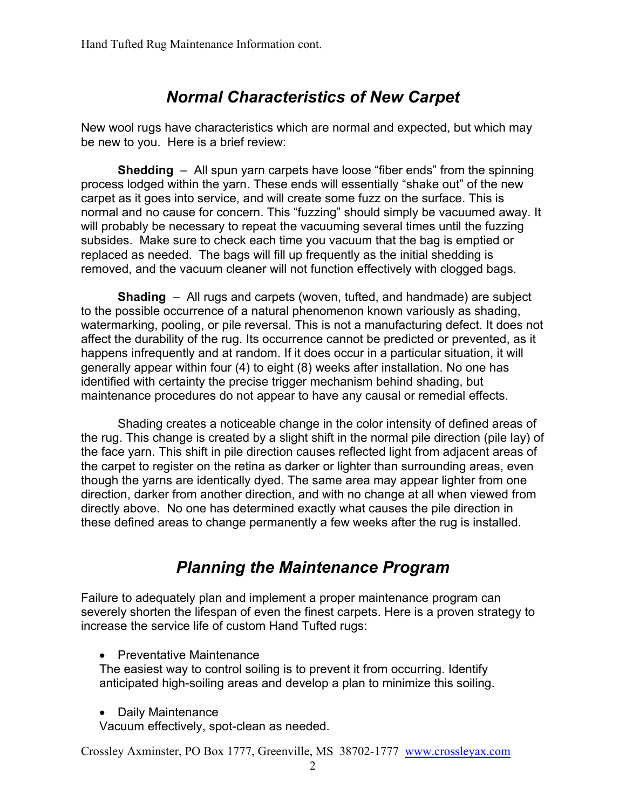## *Normal Characteristics of New Carpet*

New wool rugs have characteristics which are normal and expected, but which may be new to you. Here is a brief review:

**Shedding** – All spun yarn carpets have loose "fiber ends" from the spinning process lodged within the yarn. These ends will essentially "shake out" of the new carpet as it goes into service, and will create some fuzz on the surface. This is normal and no cause for concern. This "fuzzing" should simply be vacuumed away. It will probably be necessary to repeat the vacuuming several times until the fuzzing subsides. Make sure to check each time you vacuum that the bag is emptied or replaced as needed. The bags will fill up frequently as the initial shedding is removed, and the vacuum cleaner will not function effectively with clogged bags.

**Shading** – All rugs and carpets (woven, tufted, and handmade) are subject to the possible occurrence of a natural phenomenon known variously as shading, watermarking, pooling, or pile reversal. This is not a manufacturing defect. It does not affect the durability of the rug. Its occurrence cannot be predicted or prevented, as it happens infrequently and at random. If it does occur in a particular situation, it will generally appear within four (4) to eight (8) weeks after installation. No one has identified with certainty the precise trigger mechanism behind shading, but maintenance procedures do not appear to have any causal or remedial effects.

Shading creates a noticeable change in the color intensity of defined areas of the rug. This change is created by a slight shift in the normal pile direction (pile lay) of the face yarn. This shift in pile direction causes reflected light from adjacent areas of the carpet to register on the retina as darker or lighter than surrounding areas, even though the yarns are identically dyed. The same area may appear lighter from one direction, darker from another direction, and with no change at all when viewed from directly above. No one has determined exactly what causes the pile direction in these defined areas to change permanently a few weeks after the rug is installed.

## *Planning the Maintenance Program*

Failure to adequately plan and implement a proper maintenance program can severely shorten the lifespan of even the finest carpets. Here is a proven strategy to increase the service life of custom Hand Tufted rugs:

• Preventative Maintenance

The easiest way to control soiling is to prevent it from occurring. Identify anticipated high-soiling areas and develop a plan to minimize this soiling.

• Daily Maintenance

Vacuum effectively, spot-clean as needed.

Crossley Axminster, PO Box 1777, Greenville, MS 38702-1777 [www.crossleyax.com](http://www.crossleyax.com/)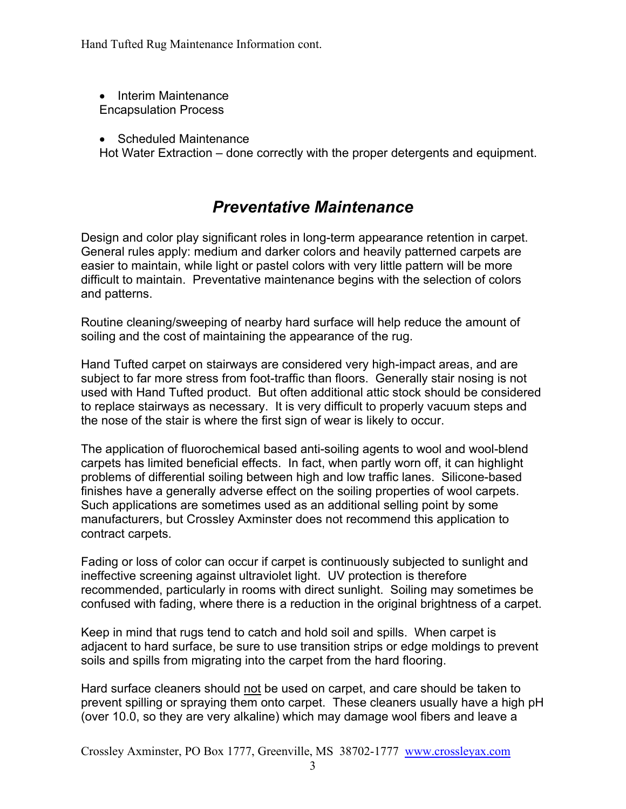Hand Tufted Rug Maintenance Information cont.

• Interim Maintenance Encapsulation Process

• Scheduled Maintenance

Hot Water Extraction – done correctly with the proper detergents and equipment.

## *Preventative Maintenance*

Design and color play significant roles in long-term appearance retention in carpet. General rules apply: medium and darker colors and heavily patterned carpets are easier to maintain, while light or pastel colors with very little pattern will be more difficult to maintain. Preventative maintenance begins with the selection of colors and patterns.

Routine cleaning/sweeping of nearby hard surface will help reduce the amount of soiling and the cost of maintaining the appearance of the rug.

Hand Tufted carpet on stairways are considered very high-impact areas, and are subject to far more stress from foot-traffic than floors. Generally stair nosing is not used with Hand Tufted product. But often additional attic stock should be considered to replace stairways as necessary. It is very difficult to properly vacuum steps and the nose of the stair is where the first sign of wear is likely to occur.

The application of fluorochemical based anti-soiling agents to wool and wool-blend carpets has limited beneficial effects. In fact, when partly worn off, it can highlight problems of differential soiling between high and low traffic lanes. Silicone-based finishes have a generally adverse effect on the soiling properties of wool carpets. Such applications are sometimes used as an additional selling point by some manufacturers, but Crossley Axminster does not recommend this application to contract carpets.

Fading or loss of color can occur if carpet is continuously subjected to sunlight and ineffective screening against ultraviolet light. UV protection is therefore recommended, particularly in rooms with direct sunlight. Soiling may sometimes be confused with fading, where there is a reduction in the original brightness of a carpet.

Keep in mind that rugs tend to catch and hold soil and spills. When carpet is adjacent to hard surface, be sure to use transition strips or edge moldings to prevent soils and spills from migrating into the carpet from the hard flooring.

Hard surface cleaners should not be used on carpet, and care should be taken to prevent spilling or spraying them onto carpet. These cleaners usually have a high pH (over 10.0, so they are very alkaline) which may damage wool fibers and leave a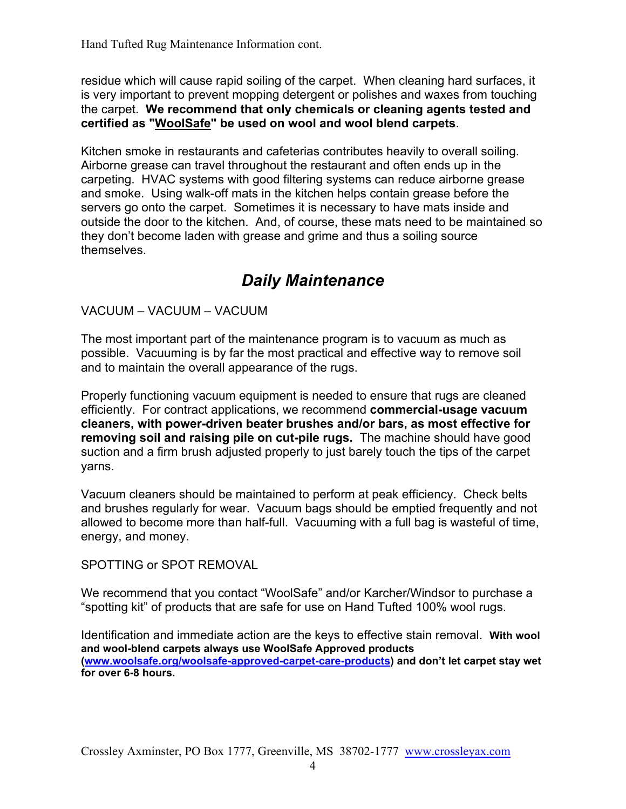Hand Tufted Rug Maintenance Information cont.

residue which will cause rapid soiling of the carpet. When cleaning hard surfaces, it is very important to prevent mopping detergent or polishes and waxes from touching the carpet. **We recommend that only chemicals or cleaning agents tested and certified as "WoolSafe" be used on wool and wool blend carpets**.

Kitchen smoke in restaurants and cafeterias contributes heavily to overall soiling. Airborne grease can travel throughout the restaurant and often ends up in the carpeting. HVAC systems with good filtering systems can reduce airborne grease and smoke. Using walk-off mats in the kitchen helps contain grease before the servers go onto the carpet. Sometimes it is necessary to have mats inside and outside the door to the kitchen. And, of course, these mats need to be maintained so they don't become laden with grease and grime and thus a soiling source themselves.

## *Daily Maintenance*

VACUUM – VACUUM – VACUUM

The most important part of the maintenance program is to vacuum as much as possible. Vacuuming is by far the most practical and effective way to remove soil and to maintain the overall appearance of the rugs.

Properly functioning vacuum equipment is needed to ensure that rugs are cleaned efficiently. For contract applications, we recommend **commercial-usage vacuum cleaners, with power-driven beater brushes and/or bars, as most effective for removing soil and raising pile on cut-pile rugs.** The machine should have good suction and a firm brush adjusted properly to just barely touch the tips of the carpet yarns.

Vacuum cleaners should be maintained to perform at peak efficiency. Check belts and brushes regularly for wear. Vacuum bags should be emptied frequently and not allowed to become more than half-full. Vacuuming with a full bag is wasteful of time, energy, and money.

SPOTTING or SPOT REMOVAL

We recommend that you contact "WoolSafe" and/or Karcher/Windsor to purchase a "spotting kit" of products that are safe for use on Hand Tufted 100% wool rugs.

Identification and immediate action are the keys to effective stain removal. **With wool and wool-blend carpets always use WoolSafe Approved products [\(www.woolsafe.org/woolsafe-approved-carpet-care-products](http://www.woolsafe.org/woolsafe-approved-carpet-care-products)) and don't let carpet stay wet for over 6-8 hours.**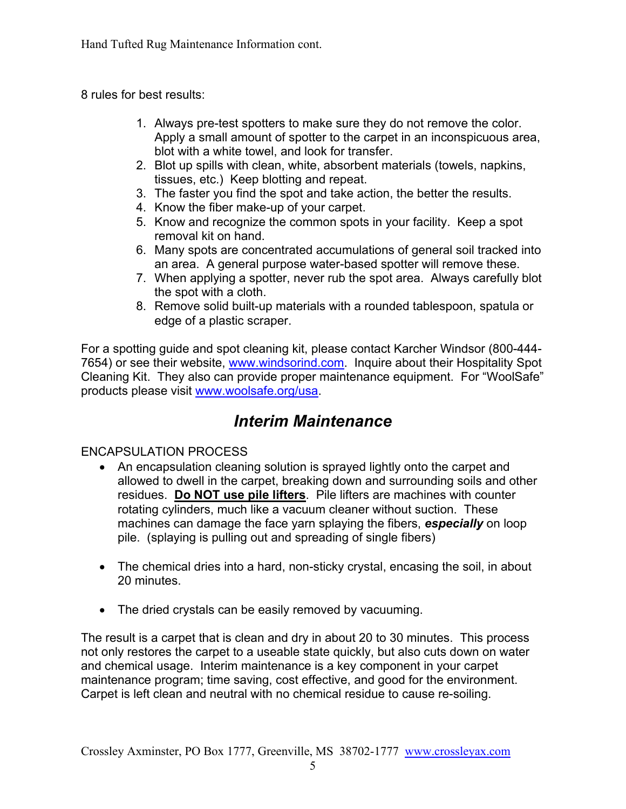Hand Tufted Rug Maintenance Information cont.

8 rules for best results:

- 1. Always pre-test spotters to make sure they do not remove the color. Apply a small amount of spotter to the carpet in an inconspicuous area, blot with a white towel, and look for transfer.
- 2. Blot up spills with clean, white, absorbent materials (towels, napkins, tissues, etc.) Keep blotting and repeat.
- 3. The faster you find the spot and take action, the better the results.
- 4. Know the fiber make-up of your carpet.
- 5. Know and recognize the common spots in your facility. Keep a spot removal kit on hand.
- 6. Many spots are concentrated accumulations of general soil tracked into an area. A general purpose water-based spotter will remove these.
- 7. When applying a spotter, never rub the spot area. Always carefully blot the spot with a cloth.
- 8. Remove solid built-up materials with a rounded tablespoon, spatula or edge of a plastic scraper.

For a spotting guide and spot cleaning kit, please contact Karcher Windsor (800-444- 7654) or see their website, [www.windsorind.com.](http://www.windsorind.com/) Inquire about their Hospitality Spot Cleaning Kit. They also can provide proper maintenance equipment. For "WoolSafe" products please visit [www.woolsafe.org/usa.](http://www.woolsafe.org/usa)

## *Interim Maintenance*

#### ENCAPSULATION PROCESS

- An encapsulation cleaning solution is sprayed lightly onto the carpet and allowed to dwell in the carpet, breaking down and surrounding soils and other residues. **Do NOT use pile lifters**. Pile lifters are machines with counter rotating cylinders, much like a vacuum cleaner without suction. These machines can damage the face yarn splaying the fibers, *especially* on loop pile. (splaying is pulling out and spreading of single fibers)
- The chemical dries into a hard, non-sticky crystal, encasing the soil, in about 20 minutes.
- The dried crystals can be easily removed by vacuuming.

The result is a carpet that is clean and dry in about 20 to 30 minutes. This process not only restores the carpet to a useable state quickly, but also cuts down on water and chemical usage. Interim maintenance is a key component in your carpet maintenance program; time saving, cost effective, and good for the environment. Carpet is left clean and neutral with no chemical residue to cause re-soiling.